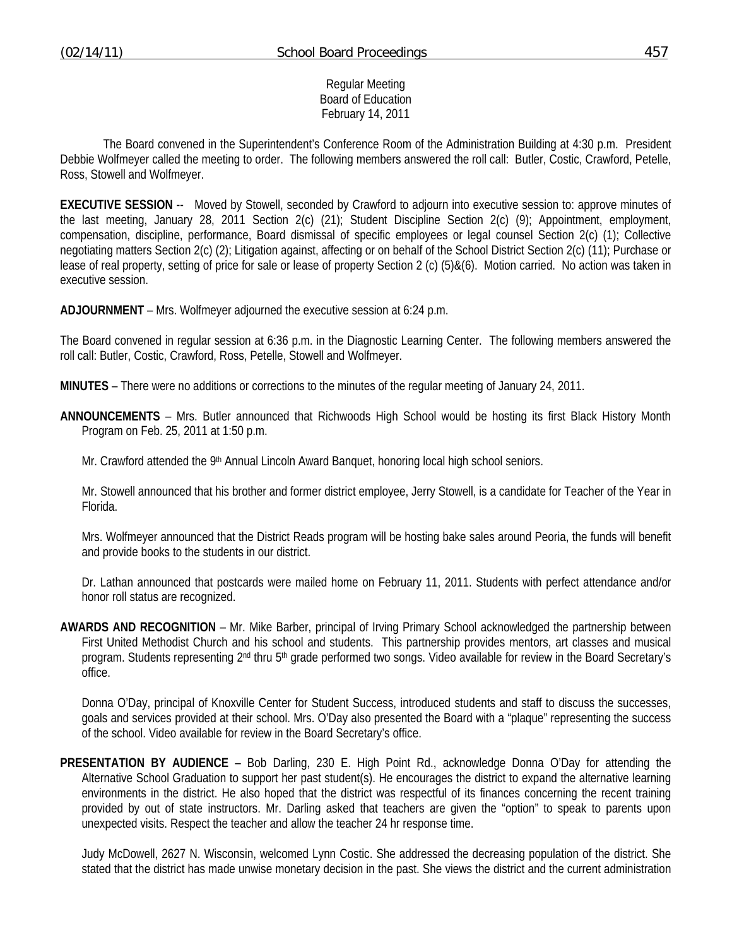#### Regular Meeting Board of Education February 14, 2011

 The Board convened in the Superintendent's Conference Room of the Administration Building at 4:30 p.m. President Debbie Wolfmeyer called the meeting to order. The following members answered the roll call: Butler, Costic, Crawford, Petelle, Ross, Stowell and Wolfmeyer.

**EXECUTIVE SESSION** -- Moved by Stowell, seconded by Crawford to adjourn into executive session to: approve minutes of the last meeting, January 28, 2011 Section 2(c) (21); Student Discipline Section 2(c) (9); Appointment, employment, compensation, discipline, performance, Board dismissal of specific employees or legal counsel Section 2(c) (1); Collective negotiating matters Section 2(c) (2); Litigation against, affecting or on behalf of the School District Section 2(c) (11); Purchase or lease of real property, setting of price for sale or lease of property Section 2 (c) (5)&(6). Motion carried. No action was taken in executive session.

**ADJOURNMENT** – Mrs. Wolfmeyer adjourned the executive session at 6:24 p.m.

The Board convened in regular session at 6:36 p.m. in the Diagnostic Learning Center. The following members answered the roll call: Butler, Costic, Crawford, Ross, Petelle, Stowell and Wolfmeyer.

**MINUTES** – There were no additions or corrections to the minutes of the regular meeting of January 24, 2011.

- **ANNOUNCEMENTS** Mrs. Butler announced that Richwoods High School would be hosting its first Black History Month Program on Feb. 25, 2011 at 1:50 p.m.
	- Mr. Crawford attended the 9<sup>th</sup> Annual Lincoln Award Banquet, honoring local high school seniors.

 Mr. Stowell announced that his brother and former district employee, Jerry Stowell, is a candidate for Teacher of the Year in Florida.

 Mrs. Wolfmeyer announced that the District Reads program will be hosting bake sales around Peoria, the funds will benefit and provide books to the students in our district.

 Dr. Lathan announced that postcards were mailed home on February 11, 2011. Students with perfect attendance and/or honor roll status are recognized.

**AWARDS AND RECOGNITION** – Mr. Mike Barber, principal of Irving Primary School acknowledged the partnership between First United Methodist Church and his school and students. This partnership provides mentors, art classes and musical program. Students representing 2<sup>nd</sup> thru 5<sup>th</sup> grade performed two songs. Video available for review in the Board Secretary's office.

 Donna O'Day, principal of Knoxville Center for Student Success, introduced students and staff to discuss the successes, goals and services provided at their school. Mrs. O'Day also presented the Board with a "plaque" representing the success of the school. Video available for review in the Board Secretary's office.

**PRESENTATION BY AUDIENCE** – Bob Darling, 230 E. High Point Rd., acknowledge Donna O'Day for attending the Alternative School Graduation to support her past student(s). He encourages the district to expand the alternative learning environments in the district. He also hoped that the district was respectful of its finances concerning the recent training provided by out of state instructors. Mr. Darling asked that teachers are given the "option" to speak to parents upon unexpected visits. Respect the teacher and allow the teacher 24 hr response time.

 Judy McDowell, 2627 N. Wisconsin, welcomed Lynn Costic. She addressed the decreasing population of the district. She stated that the district has made unwise monetary decision in the past. She views the district and the current administration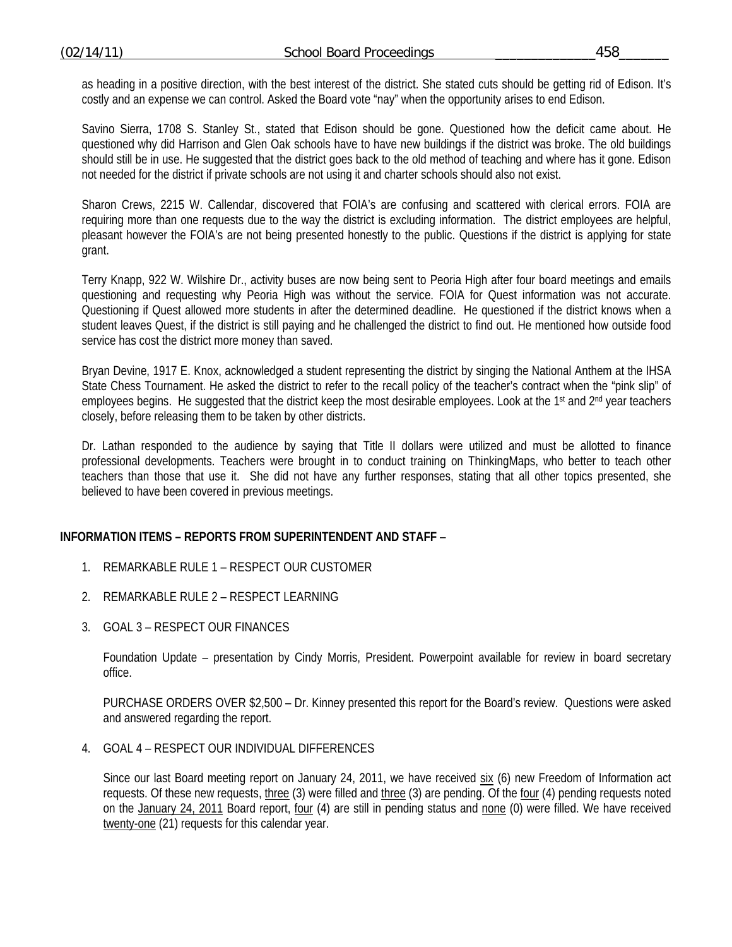as heading in a positive direction, with the best interest of the district. She stated cuts should be getting rid of Edison. It's costly and an expense we can control. Asked the Board vote "nay" when the opportunity arises to end Edison.

 Savino Sierra, 1708 S. Stanley St., stated that Edison should be gone. Questioned how the deficit came about. He questioned why did Harrison and Glen Oak schools have to have new buildings if the district was broke. The old buildings should still be in use. He suggested that the district goes back to the old method of teaching and where has it gone. Edison not needed for the district if private schools are not using it and charter schools should also not exist.

 Sharon Crews, 2215 W. Callendar, discovered that FOIA's are confusing and scattered with clerical errors. FOIA are requiring more than one requests due to the way the district is excluding information. The district employees are helpful, pleasant however the FOIA's are not being presented honestly to the public. Questions if the district is applying for state grant.

 Terry Knapp, 922 W. Wilshire Dr., activity buses are now being sent to Peoria High after four board meetings and emails questioning and requesting why Peoria High was without the service. FOIA for Quest information was not accurate. Questioning if Quest allowed more students in after the determined deadline. He questioned if the district knows when a student leaves Quest, if the district is still paying and he challenged the district to find out. He mentioned how outside food service has cost the district more money than saved.

 Bryan Devine, 1917 E. Knox, acknowledged a student representing the district by singing the National Anthem at the IHSA State Chess Tournament. He asked the district to refer to the recall policy of the teacher's contract when the "pink slip" of employees begins. He suggested that the district keep the most desirable employees. Look at the 1<sup>st</sup> and 2<sup>nd</sup> year teachers closely, before releasing them to be taken by other districts.

 Dr. Lathan responded to the audience by saying that Title II dollars were utilized and must be allotted to finance professional developments. Teachers were brought in to conduct training on ThinkingMaps, who better to teach other teachers than those that use it. She did not have any further responses, stating that all other topics presented, she believed to have been covered in previous meetings.

## **INFORMATION ITEMS – REPORTS FROM SUPERINTENDENT AND STAFF** –

- 1. REMARKABLE RULE 1 RESPECT OUR CUSTOMER
- 2. REMARKABLE RULE 2 RESPECT LEARNING
- 3. GOAL 3 RESPECT OUR FINANCES

Foundation Update – presentation by Cindy Morris, President. Powerpoint available for review in board secretary office.

PURCHASE ORDERS OVER \$2,500 – Dr. Kinney presented this report for the Board's review. Questions were asked and answered regarding the report.

4. GOAL 4 – RESPECT OUR INDIVIDUAL DIFFERENCES

Since our last Board meeting report on January 24, 2011, we have received six (6) new Freedom of Information act requests. Of these new requests, three (3) were filled and three (3) are pending. Of the four (4) pending requests noted on the January 24, 2011 Board report, four (4) are still in pending status and none (0) were filled. We have received twenty-one (21) requests for this calendar year.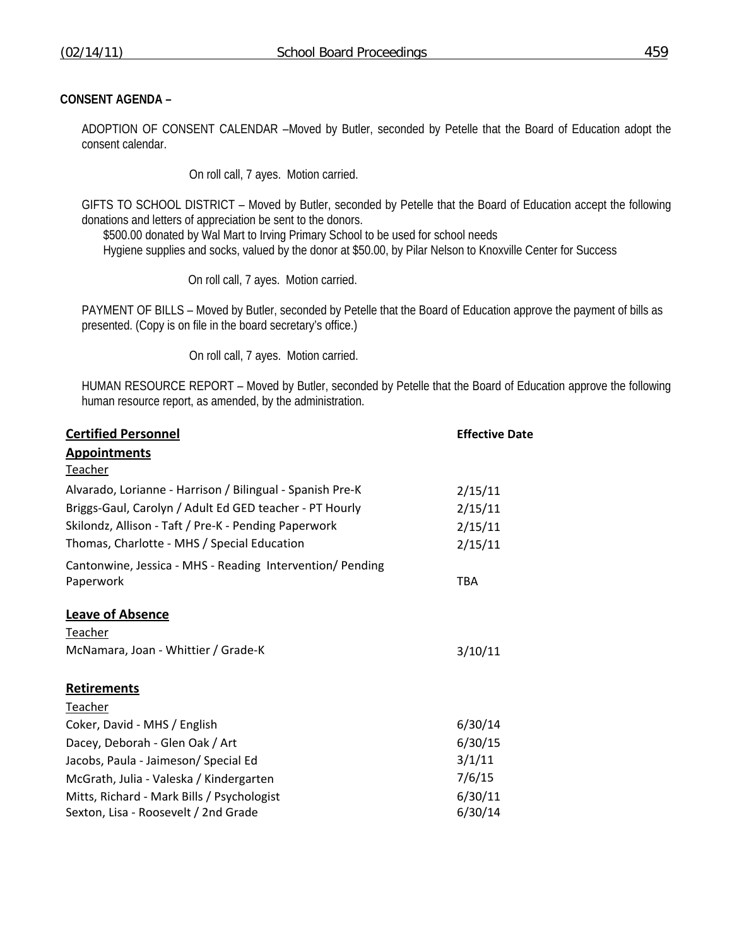# **CONSENT AGENDA –**

ADOPTION OF CONSENT CALENDAR –Moved by Butler, seconded by Petelle that the Board of Education adopt the consent calendar.

On roll call, 7 ayes. Motion carried.

GIFTS TO SCHOOL DISTRICT – Moved by Butler, seconded by Petelle that the Board of Education accept the following donations and letters of appreciation be sent to the donors.

 \$500.00 donated by Wal Mart to Irving Primary School to be used for school needs Hygiene supplies and socks, valued by the donor at \$50.00, by Pilar Nelson to Knoxville Center for Success

On roll call, 7 ayes. Motion carried.

PAYMENT OF BILLS – Moved by Butler, seconded by Petelle that the Board of Education approve the payment of bills as presented. (Copy is on file in the board secretary's office.)

On roll call, 7 ayes. Motion carried.

HUMAN RESOURCE REPORT – Moved by Butler, seconded by Petelle that the Board of Education approve the following human resource report, as amended, by the administration.

| <b>Certified Personnel</b>                                | <b>Effective Date</b> |  |
|-----------------------------------------------------------|-----------------------|--|
| <b>Appointments</b><br><b>Teacher</b>                     |                       |  |
| Alvarado, Lorianne - Harrison / Bilingual - Spanish Pre-K | 2/15/11               |  |
| Briggs-Gaul, Carolyn / Adult Ed GED teacher - PT Hourly   | 2/15/11               |  |
| Skilondz, Allison - Taft / Pre-K - Pending Paperwork      | 2/15/11               |  |
| Thomas, Charlotte - MHS / Special Education               | 2/15/11               |  |
| Cantonwine, Jessica - MHS - Reading Intervention/ Pending |                       |  |
| Paperwork                                                 | TBA                   |  |
| <b>Leave of Absence</b>                                   |                       |  |
| Teacher                                                   |                       |  |
| McNamara, Joan - Whittier / Grade-K                       | 3/10/11               |  |
| <b>Retirements</b>                                        |                       |  |
| Teacher                                                   |                       |  |
| Coker, David - MHS / English                              | 6/30/14               |  |
| Dacey, Deborah - Glen Oak / Art                           | 6/30/15               |  |
| Jacobs, Paula - Jaimeson/ Special Ed                      | 3/1/11                |  |
| McGrath, Julia - Valeska / Kindergarten                   | 7/6/15                |  |
| Mitts, Richard - Mark Bills / Psychologist                | 6/30/11               |  |
| Sexton, Lisa - Roosevelt / 2nd Grade                      | 6/30/14               |  |
|                                                           |                       |  |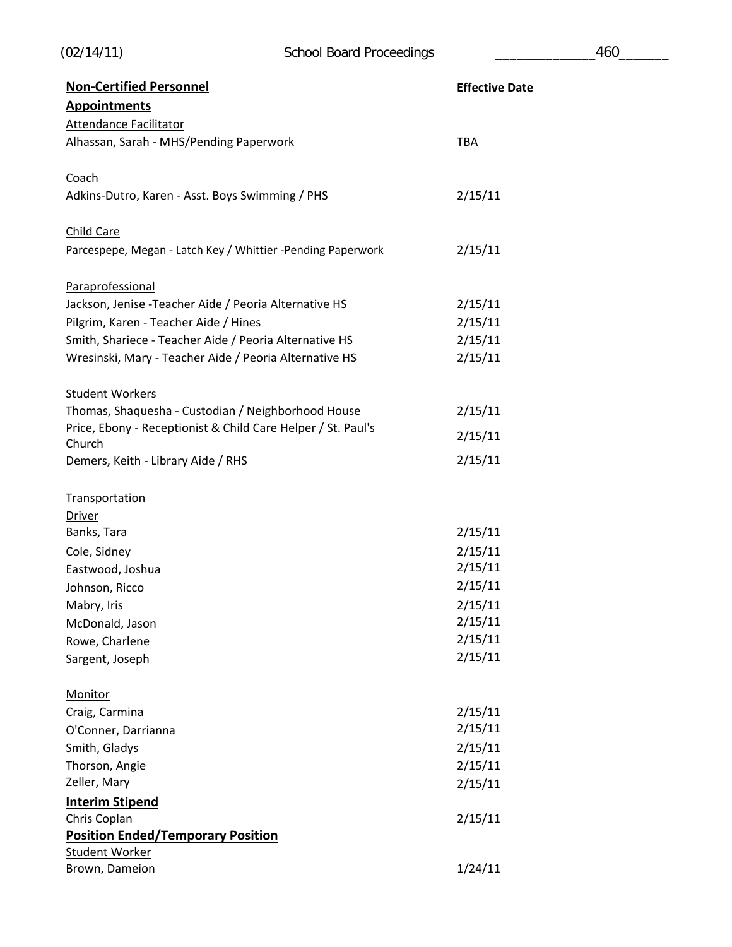| <b>Non-Certified Personnel</b>                                         | <b>Effective Date</b> |
|------------------------------------------------------------------------|-----------------------|
| <b>Appointments</b>                                                    |                       |
| <b>Attendance Facilitator</b>                                          |                       |
| Alhassan, Sarah - MHS/Pending Paperwork                                | <b>TBA</b>            |
| Coach                                                                  |                       |
| Adkins-Dutro, Karen - Asst. Boys Swimming / PHS                        | 2/15/11               |
| Child Care                                                             |                       |
| Parcespepe, Megan - Latch Key / Whittier -Pending Paperwork            | 2/15/11               |
| Paraprofessional                                                       |                       |
| Jackson, Jenise - Teacher Aide / Peoria Alternative HS                 | 2/15/11               |
| Pilgrim, Karen - Teacher Aide / Hines                                  | 2/15/11               |
| Smith, Shariece - Teacher Aide / Peoria Alternative HS                 | 2/15/11               |
| Wresinski, Mary - Teacher Aide / Peoria Alternative HS                 | 2/15/11               |
| <b>Student Workers</b>                                                 |                       |
| Thomas, Shaquesha - Custodian / Neighborhood House                     | 2/15/11               |
| Price, Ebony - Receptionist & Child Care Helper / St. Paul's<br>Church | 2/15/11               |
| Demers, Keith - Library Aide / RHS                                     | 2/15/11               |
| Transportation                                                         |                       |
| <b>Driver</b>                                                          |                       |
| Banks, Tara                                                            | 2/15/11               |
| Cole, Sidney                                                           | 2/15/11               |
| Eastwood, Joshua                                                       | 2/15/11               |
| Johnson, Ricco                                                         | 2/15/11               |
| Mabry, Iris                                                            | 2/15/11               |
| McDonald, Jason                                                        | 2/15/11               |
| Rowe, Charlene                                                         | 2/15/11               |
| Sargent, Joseph                                                        | 2/15/11               |
| <b>Monitor</b>                                                         |                       |
| Craig, Carmina                                                         | 2/15/11               |
| O'Conner, Darrianna                                                    | 2/15/11               |
| Smith, Gladys                                                          | 2/15/11               |
| Thorson, Angie                                                         | 2/15/11               |
| Zeller, Mary                                                           | 2/15/11               |
| <b>Interim Stipend</b>                                                 |                       |
| Chris Coplan                                                           | 2/15/11               |
| <b>Position Ended/Temporary Position</b>                               |                       |
| <b>Student Worker</b>                                                  |                       |
| Brown, Dameion                                                         | 1/24/11               |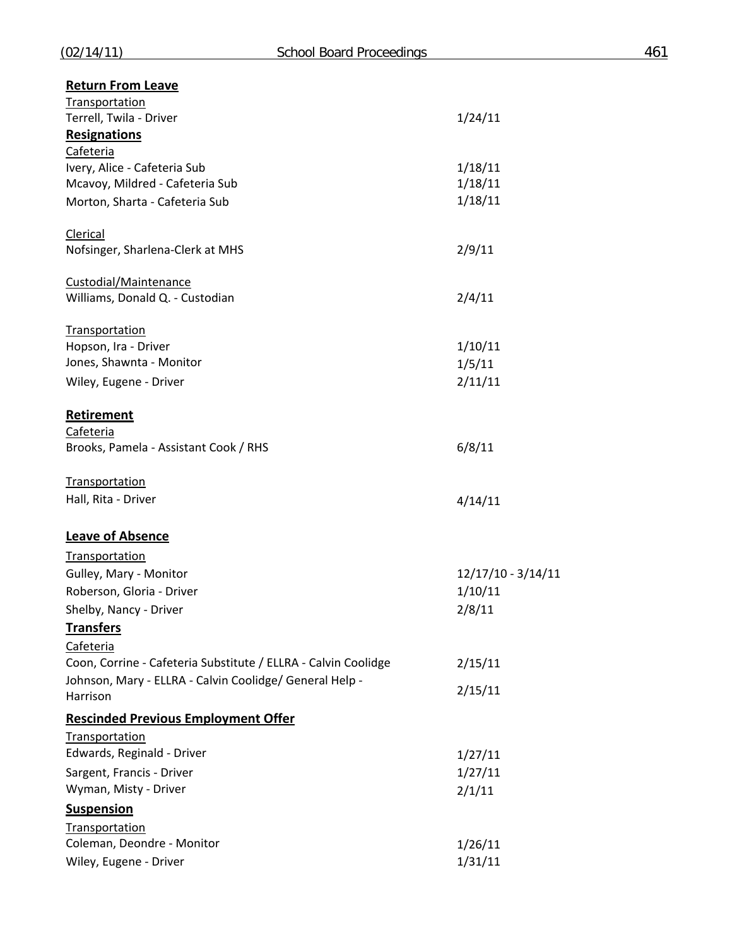| <b>Return From Leave</b>                                       |                    |
|----------------------------------------------------------------|--------------------|
| <b>Transportation</b><br>Terrell, Twila - Driver               | 1/24/11            |
| <b>Resignations</b>                                            |                    |
| Cafeteria                                                      |                    |
| Ivery, Alice - Cafeteria Sub                                   | 1/18/11            |
| Mcavoy, Mildred - Cafeteria Sub                                | 1/18/11            |
| Morton, Sharta - Cafeteria Sub                                 | 1/18/11            |
| Clerical                                                       |                    |
| Nofsinger, Sharlena-Clerk at MHS                               | 2/9/11             |
| Custodial/Maintenance                                          |                    |
| Williams, Donald Q. - Custodian                                | 2/4/11             |
| <b>Transportation</b>                                          |                    |
| Hopson, Ira - Driver                                           | 1/10/11            |
| Jones, Shawnta - Monitor                                       | 1/5/11             |
| Wiley, Eugene - Driver                                         | 2/11/11            |
| Retirement                                                     |                    |
| Cafeteria                                                      |                    |
| Brooks, Pamela - Assistant Cook / RHS                          | 6/8/11             |
| <b>Transportation</b>                                          |                    |
| Hall, Rita - Driver                                            | 4/14/11            |
| <b>Leave of Absence</b>                                        |                    |
| <b>Transportation</b>                                          |                    |
| Gulley, Mary - Monitor                                         | 12/17/10 - 3/14/11 |
| Roberson, Gloria - Driver                                      | 1/10/11            |
| Shelby, Nancy - Driver                                         | 2/8/11             |
| <b>Transfers</b>                                               |                    |
| Cafeteria                                                      |                    |
| Coon, Corrine - Cafeteria Substitute / ELLRA - Calvin Coolidge | 2/15/11            |
| Johnson, Mary - ELLRA - Calvin Coolidge/ General Help -        | 2/15/11            |
| Harrison                                                       |                    |
| <b>Rescinded Previous Employment Offer</b>                     |                    |
| Transportation<br>Edwards, Reginald - Driver                   | 1/27/11            |
| Sargent, Francis - Driver                                      | 1/27/11            |
| Wyman, Misty - Driver                                          | 2/1/11             |
| <b>Suspension</b>                                              |                    |
| Transportation                                                 |                    |
| Coleman, Deondre - Monitor                                     | 1/26/11            |
| Wiley, Eugene - Driver                                         | 1/31/11            |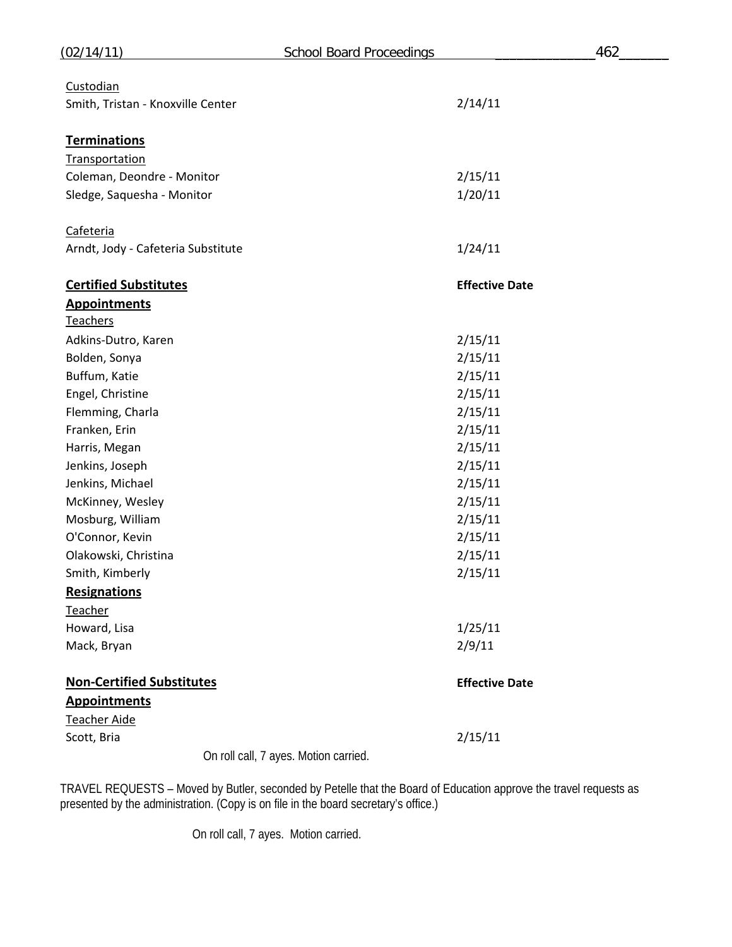| (02/14/11)                         | <b>School Board Proceedings</b>       | 462 |
|------------------------------------|---------------------------------------|-----|
| Custodian                          |                                       |     |
| Smith, Tristan - Knoxville Center  | 2/14/11                               |     |
| <b>Terminations</b>                |                                       |     |
| <b>Transportation</b>              |                                       |     |
| Coleman, Deondre - Monitor         | 2/15/11                               |     |
| Sledge, Saquesha - Monitor         | 1/20/11                               |     |
| Cafeteria                          |                                       |     |
| Arndt, Jody - Cafeteria Substitute | 1/24/11                               |     |
| <b>Certified Substitutes</b>       | <b>Effective Date</b>                 |     |
| <b>Appointments</b>                |                                       |     |
| <b>Teachers</b>                    |                                       |     |
| Adkins-Dutro, Karen                | 2/15/11                               |     |
| Bolden, Sonya                      | 2/15/11                               |     |
| Buffum, Katie                      | 2/15/11                               |     |
| Engel, Christine                   | 2/15/11                               |     |
| Flemming, Charla                   | 2/15/11                               |     |
| Franken, Erin                      | 2/15/11                               |     |
| Harris, Megan                      | 2/15/11                               |     |
| Jenkins, Joseph                    | 2/15/11                               |     |
| Jenkins, Michael                   | 2/15/11                               |     |
| McKinney, Wesley                   | 2/15/11                               |     |
| Mosburg, William                   | 2/15/11                               |     |
| O'Connor, Kevin                    | 2/15/11                               |     |
| Olakowski, Christina               | 2/15/11                               |     |
| Smith, Kimberly                    | 2/15/11                               |     |
| <b>Resignations</b>                |                                       |     |
| Teacher                            |                                       |     |
| Howard, Lisa                       | 1/25/11                               |     |
| Mack, Bryan                        | 2/9/11                                |     |
| <b>Non-Certified Substitutes</b>   | <b>Effective Date</b>                 |     |
| <b>Appointments</b>                |                                       |     |
| <b>Teacher Aide</b>                |                                       |     |
| Scott, Bria                        | 2/15/11                               |     |
|                                    | On roll call, 7 ayes. Motion carried. |     |

TRAVEL REQUESTS – Moved by Butler, seconded by Petelle that the Board of Education approve the travel requests as presented by the administration. (Copy is on file in the board secretary's office.)

On roll call, 7 ayes. Motion carried.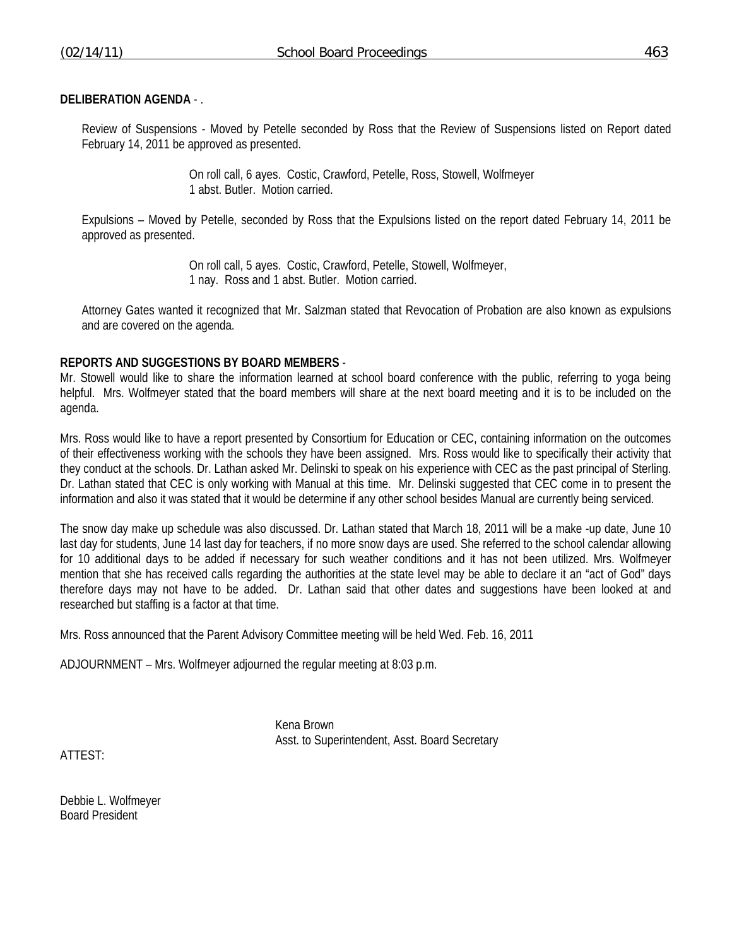### **DELIBERATION AGENDA** - .

Review of Suspensions - Moved by Petelle seconded by Ross that the Review of Suspensions listed on Report dated February 14, 2011 be approved as presented.

> On roll call, 6 ayes. Costic, Crawford, Petelle, Ross, Stowell, Wolfmeyer 1 abst. Butler. Motion carried.

Expulsions – Moved by Petelle, seconded by Ross that the Expulsions listed on the report dated February 14, 2011 be approved as presented.

> On roll call, 5 ayes. Costic, Crawford, Petelle, Stowell, Wolfmeyer, 1 nay. Ross and 1 abst. Butler. Motion carried.

 Attorney Gates wanted it recognized that Mr. Salzman stated that Revocation of Probation are also known as expulsions and are covered on the agenda.

#### **REPORTS AND SUGGESTIONS BY BOARD MEMBERS** -

Mr. Stowell would like to share the information learned at school board conference with the public, referring to yoga being helpful. Mrs. Wolfmeyer stated that the board members will share at the next board meeting and it is to be included on the agenda.

Mrs. Ross would like to have a report presented by Consortium for Education or CEC, containing information on the outcomes of their effectiveness working with the schools they have been assigned. Mrs. Ross would like to specifically their activity that they conduct at the schools. Dr. Lathan asked Mr. Delinski to speak on his experience with CEC as the past principal of Sterling. Dr. Lathan stated that CEC is only working with Manual at this time. Mr. Delinski suggested that CEC come in to present the information and also it was stated that it would be determine if any other school besides Manual are currently being serviced.

The snow day make up schedule was also discussed. Dr. Lathan stated that March 18, 2011 will be a make -up date, June 10 last day for students, June 14 last day for teachers, if no more snow days are used. She referred to the school calendar allowing for 10 additional days to be added if necessary for such weather conditions and it has not been utilized. Mrs. Wolfmeyer mention that she has received calls regarding the authorities at the state level may be able to declare it an "act of God" days therefore days may not have to be added. Dr. Lathan said that other dates and suggestions have been looked at and researched but staffing is a factor at that time.

Mrs. Ross announced that the Parent Advisory Committee meeting will be held Wed. Feb. 16, 2011

ADJOURNMENT – Mrs. Wolfmeyer adjourned the regular meeting at 8:03 p.m.

 Kena Brown Asst. to Superintendent, Asst. Board Secretary

ATTEST:

Debbie L. Wolfmeyer Board President